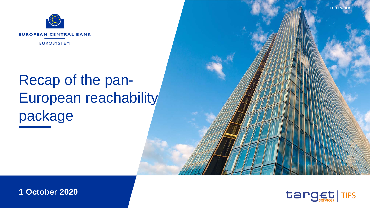

# Recap of the pan-European reachability package



**1 October 2020**

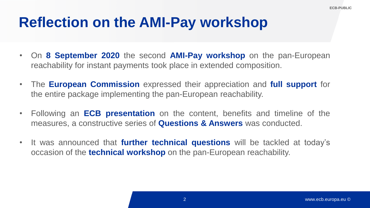### **Reflection on the AMI-Pay workshop**

- On **8 September 2020** the second **AMI-Pay workshop** on the pan-European reachability for instant payments took place in extended composition.
- The **European Commission** expressed their appreciation and **full support** for the entire package implementing the pan-European reachability.
- Following an **ECB presentation** on the content, benefits and timeline of the measures, a constructive series of **Questions & Answers** was conducted.
- It was announced that **further technical questions** will be tackled at today's occasion of the **technical workshop** on the pan-European reachability.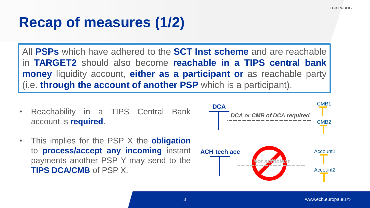### **Recap of measures (1/2)**

All **PSPs** which have adhered to the **SCT Inst scheme** and are reachable in **TARGET2** should also become **reachable in a TIPS central bank money** liquidity account, **either as a participant or** as reachable party (i.e. **through the account of another PSP** which is a participant).

- Reachability in a TIPS Central Bank account is **required**.
- This implies for the PSP X the **obligation** to **process/accept any incoming** instant payments another PSP Y may send to the **TIPS DCA/CMB** of PSP X.

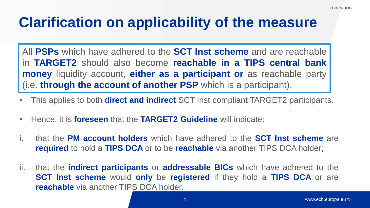## **Clarification on applicability of the measure**

All **PSPs** which have adhered to the **SCT Inst scheme** and are reachable in **TARGET2** should also become **reachable in a TIPS central bank money** liquidity account, **either as a participant or** as reachable party (i.e. **through the account of another PSP** which is a participant).

- This applies to both **direct and indirect** SCT Inst compliant TARGET2 participants.
- Hence, it is **foreseen** that the **TARGET2 Guideline** will indicate:
- i. that the **PM account holders** which have adhered to the **SCT Inst scheme** are **required** to hold a **TIPS DCA** or to be **reachable** via another TIPS DCA holder;
- ii. that the **indirect participants** or **addressable BICs** which have adhered to the **SCT Inst scheme** would **only** be **registered** if they hold a **TIPS DCA** or are **reachable** via another TIPS DCA holder.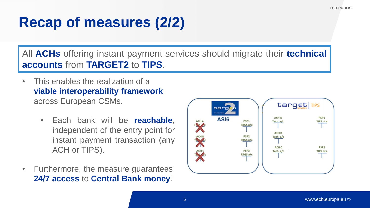# **Recap of measures (2/2)**

All **ACHs** offering instant payment services should migrate their **technical accounts** from **TARGET2** to **TIPS**.

- This enables the realization of a **viable interoperability framework**  across European CSMs.
	- Each bank will be **reachable**, independent of the entry point for instant payment transaction (any ACH or TIPS).
- Furthermore, the measure guarantees **24/7 access** to **Central Bank money**.

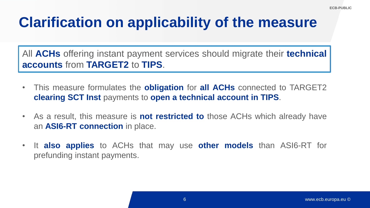# **Clarification on applicability of the measure**

All **ACHs** offering instant payment services should migrate their **technical accounts** from **TARGET2** to **TIPS**.

- This measure formulates the **obligation** for **all ACHs** connected to TARGET2 **clearing SCT Inst** payments to **open a technical account in TIPS**.
- As a result, this measure is **not restricted to** those ACHs which already have an **ASI6-RT connection** in place.
- It **also applies** to ACHs that may use **other models** than ASI6-RT for prefunding instant payments.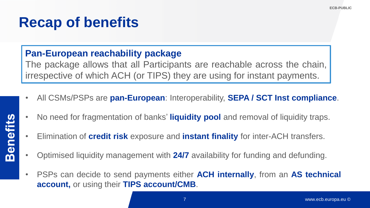### **Recap of benefits**

### **Pan-European reachability package**

The package allows that all Participants are reachable across the chain, irrespective of which ACH (or TIPS) they are using for instant payments.

- All CSMs/PSPs are **pan-European**: Interoperability, **SEPA / SCT Inst compliance**.
- No need for fragmentation of banks' **liquidity pool** and removal of liquidity traps.
- Elimination of **credit risk** exposure and **instant finality** for inter-ACH transfers.
- Optimised liquidity management with **24/7** availability for funding and defunding.
- PSPs can decide to send payments either **ACH internally**, from an **AS technical account,** or using their **TIPS account/CMB**.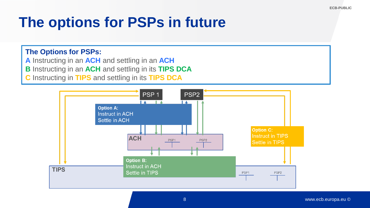# **The options for PSPs in future**

#### **The Options for PSPs:**

- **A** Instructing in an **ACH** and settling in an **ACH**
- **B** Instructing in an **ACH** and settling in its **TIPS DCA**
- **C** Instructing in **TIPS** and settling in its **TIPS DCA**

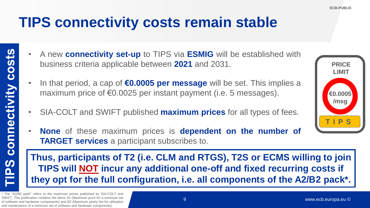### **TIPS connectivity costs remain stable**

- A new **connectivity set-up** to TIPS via **ESMIG** will be established with business criteria applicable between **2021** and 2031.
	- In that period, a cap of **€0.0005 per message** will be set. This implies a maximum price of €0.0025 per instant payment (i.e. 5 messages).
	- SIA-COLT and SWIFT published **maximum prices** for all types of fees.
	- **None** of these maximum prices is **dependent on the number of TARGET services** a participant subscribes to.

9 **they opt for the full configuration, i.e. all components of the A2/B2 pack\*. Thus, participants of T2 (i.e. CLM and RTGS), T2S or ECMS willing to join TIPS will NOT incur any additional one-off and fixed recurring costs if** 

\* The "A2/B2 pack" refers to the maximum prices published by SIA-COLT and SWIFT. This publication contains the items A2 (Maximum price for a minimum set of software and hardware components) and B2 (Maximum yearly fee for utilisation and maintenance of a minimum set of software and hardware components).

connectivity costs

<u>PS</u>

#### 9

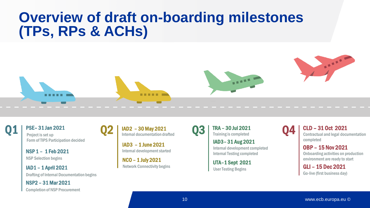### **Overview of draft on-boarding milestones (TPs, RPs & ACHs)**



Q2





PSE– 31 Jan 2021 Project is set up Form of TIPS Participation decided

NSP 1 – 1 Feb 2021 NSP Selection begins

Q1

IAD1 – 1 April 2021 Drafting of Internal Documentation begins

NSP2 – 31 Mar 2021 Completion of NSP Procurement IAD2 – 30 May 2021 Internal documentation drafted

IAD3 – 1 June 2021 Internal development started

NCO – 1 July 2021 Network Connectivity begins  $\overline{\mathrm{Q3}}$  | TRA – 30 Jul 2021

IAD3– 31 Aug 2021 Internal development completed Internal Testing completed

UTA–1 Sept 2021 User Testing Begins

CLD – 31 Oct 2021 Contractual and legal documentation completed

Q4

OBP – 15 Nov 2021 Onboarding activities on production environment are ready to start

GLI – 15 Dec 2021 Go-live (first business day)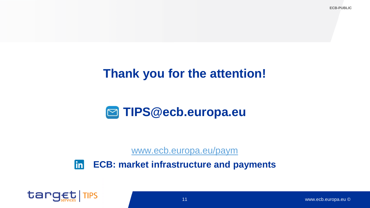### **Thank you for the attention!**

### **TIPS@ecb.europa.eu**

[www.ecb.europa.eu/paym](http://www.ecb.europa.eu/paym)

in **ECB: market infrastructure and payments**

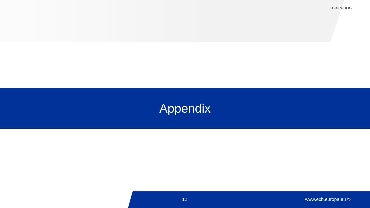**ECB-PUBLIC**

### Appendix